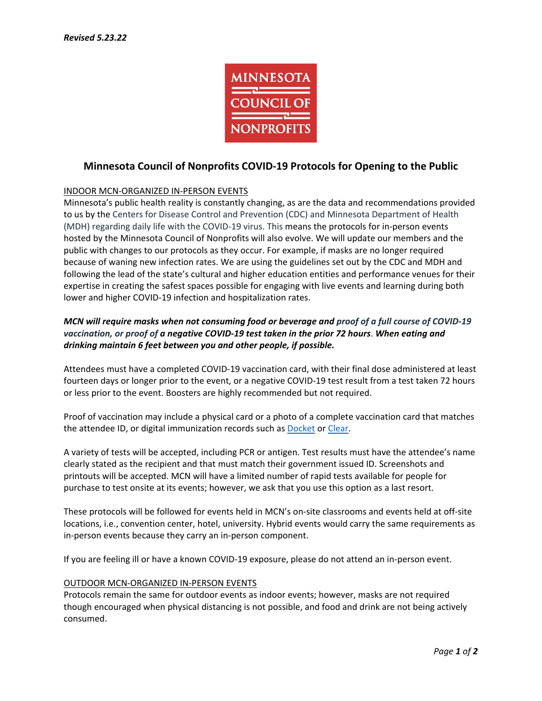

# **Minnesota Council of Nonprofits COVID-19 Protocols for Opening to the Public**

## INDOOR MCN-ORGANIZED IN-PERSON EVENTS

Minnesota's public health reality is constantly changing, as are the data and recommendations provided to us by the Centers for Disease Control and Prevention (CDC) and Minnesota Department of Health (MDH) regarding daily life with the COVID-19 virus. This means the protocols for in-person events hosted by the Minnesota Council of Nonprofits will also evolve. We will update our members and the public with changes to our protocols as they occur. For example, if masks are no longer required because of waning new infection rates. We are using the guidelines set out by the CDC and MDH and following the lead of the state's cultural and higher education entities and performance venues for their expertise in creating the safest spaces possible for engaging with live events and learning during both lower and higher COVID-19 infection and hospitalization rates.

## *MCN will require masks when not consuming food or beverage and proof of a full course of COVID-19 vaccination, or proof of a negative COVID-19 test taken in the prior 72 hours*. *When eating and drinking maintain 6 feet between you and other people, if possible.*

Attendees must have a completed COVID-19 vaccination card, with their final dose administered at least fourteen days or longer prior to the event, or a negative COVID-19 test result from a test taken 72 hours or less prior to the event. Boosters are highly recommended but not required.

Proof of vaccination may include a physical card or a photo of a complete vaccination card that matches the attendee ID, or digital immunization records such a[s Docket](https://docket.care/) o[r Clear.](https://www.clearme.com/vaccine-validation)

A variety of tests will be accepted, including PCR or antigen. Test results must have the attendee's name clearly stated as the recipient and that must match their government issued ID. Screenshots and printouts will be accepted. MCN will have a limited number of rapid tests available for people for purchase to test onsite at its events; however, we ask that you use this option as a last resort.

These protocols will be followed for events held in MCN's on-site classrooms and events held at off-site locations, i.e., convention center, hotel, university. Hybrid events would carry the same requirements as in-person events because they carry an in-person component.

If you are feeling ill or have a known COVID-19 exposure, please do not attend an in-person event.

#### OUTDOOR MCN-ORGANIZED IN-PERSON EVENTS

Protocols remain the same for outdoor events as indoor events; however, masks are not required though encouraged when physical distancing is not possible, and food and drink are not being actively consumed.